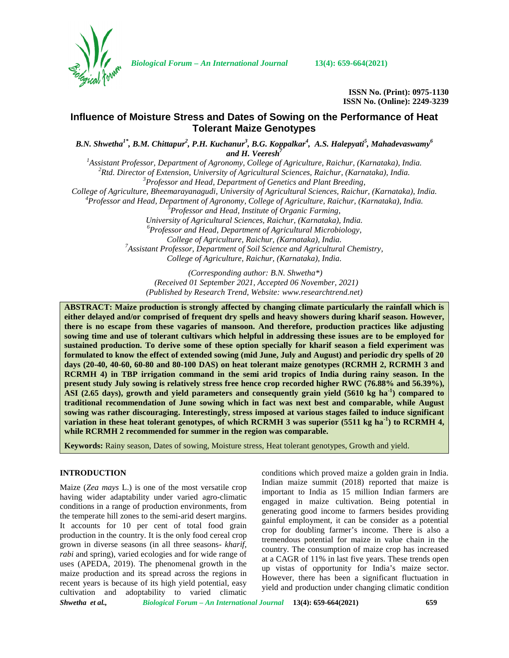

*Biological Forum – An International Journal* **13(4): 659-664(2021)**

**ISSN No. (Print): 0975-1130 ISSN No. (Online): 2249-3239**

# **Influence of Moisture Stress and Dates of Sowing on the Performance of Heat Tolerant Maize Genotypes**

*B.N. Shwetha1\* , B.M. Chittapur<sup>2</sup> , P.H. Kuchanur<sup>3</sup> , B.G. Koppalkar<sup>4</sup> , A.S. Halepyati<sup>5</sup> , Mahadevaswamy<sup>6</sup> and H. Veeresh<sup>7</sup>*

<sup>1</sup>Assistant Professor, Department of Agronomy, College of Agriculture, Raichur, (Karnataka), India.<br><sup>2</sup>Rtd. Director of Extension, University of Agricultural Sciences, Raichur, (Karnataka), India.<br><sup>3</sup>Professor and Head,

<sup>4</sup> Professor and Head, Department of Agronomy, College of Agriculture, Raichur, (Karnataka), India.<br><sup>5</sup> Professor and Head, Institute of Organic Farming,<br>University of Agricultural Sciences, Raichur, (Karnataka), India.

*University of Agricultural Sciences, Raichur, (Karnataka), India. <sup>6</sup>Professor and Head, Department of Agricultural Microbiology,*

*College of Agriculture, Raichur, (Karnataka), India. <sup>7</sup>Assistant Professor, Department of Soil Science and Agricultural Chemistry, College of Agriculture, Raichur, (Karnataka), India.*

*(Corresponding author: B.N. Shwetha\*) (Received 01 September 2021, Accepted 06 November, 2021) (Published by Research Trend, Website: [www.researchtrend.net\)](www.researchtrend.net)*

**ABSTRACT: Maize production is strongly affected by changing climate particularly the rainfall which is either delayed and/or comprised of frequent dry spells and heavy showers during kharif season. However, there is no escape from these vagaries of mansoon. And therefore, production practices like adjusting sowing time and use of tolerant cultivars which helpful in addressing these issues are to be employed for sustained production. To derive some of these option specially for kharif season a field experiment was formulated to know the effect of extended sowing (mid June, July and August) and periodic dry spells of 20 days (20-40, 40-60, 60-80 and 80-100 DAS) on heat tolerant maize genotypes (RCRMH 2, RCRMH 3 and RCRMH 4) in TBP irrigation command in the semi arid tropics of India during rainy season. In the present study July sowing is relatively stress free hence crop recorded higher RWC (76.88% and 56.39%), ASI (2.65 days), growth and yield parameters and consequently grain yield (5610 kg ha-1) compared to traditional recommendation of June sowing which in fact was next best and comparable, while August sowing was rather discouraging. Interestingly, stress imposed at various stages failed to induce significant variation in these heat tolerant genotypes, of which RCRMH 3 was superior (5511 kg ha<sup>-1</sup>) to RCRMH 4, while RCRMH 2 recommended for summer in the region was comparable.**

**Keywords:** Rainy season, Dates of sowing, Moisture stress, Heat tolerant genotypes, Growth and yield.

## **INTRODUCTION**

Maize (*Zea mays* L.) is one of the most versatile crop having wider adaptability under varied agro-climatic conditions in a range of production environments, from the temperate hill zones to the semi-arid desert margins. It accounts for 10 per cent of total food grain production in the country. It is the only food cereal crop grown in diverse seasons (in all three seasons- *kharif*, *rabi* and spring), varied ecologies and for wide range of uses (APEDA, 2019). The phenomenal growth in the maize production and its spread across the regions in recent years is because of its high yield potential, easy cultivation and adoptability to varied climatic conditions which proved maize a golden grain in India. Indian maize summit (2018) reported that maize is important to India as 15 million Indian farmers are engaged in maize cultivation. Being potential in generating good income to farmers besides providing gainful employment, it can be consider as a potential crop for doubling farmer's income. There is also a tremendous potential for maize in value chain in the country. The consumption of maize crop has increased at a CAGR of 11% in last five years. These trends open up vistas of opportunity for India's maize sector. However, there has been a significant fluctuation in yield and production under changing climatic condition

*Shwetha et al., Biological Forum – An International Journal* **13(4): 659-664(2021) 659**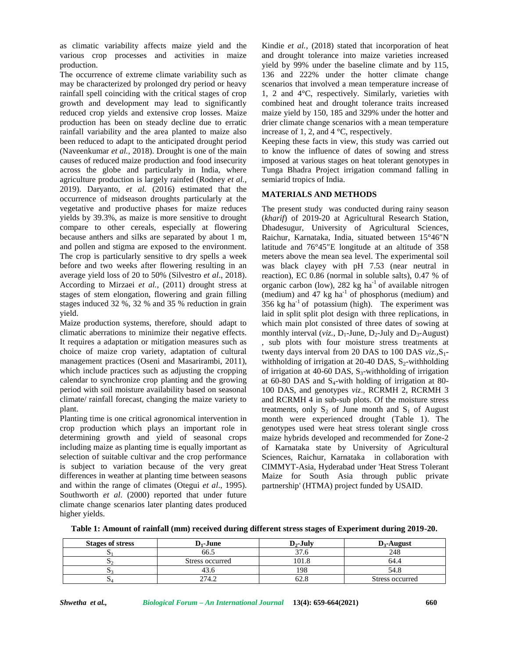as climatic variability affects maize yield and the various crop processes and activities in maize production.

The occurrence of extreme climate variability such as may be characterized by prolonged dry period or heavy rainfall spell coinciding with the critical stages of crop growth and development may lead to significantly reduced crop yields and extensive crop losses. Maize production has been on steady decline due to erratic rainfall variability and the area planted to maize also been reduced to adapt to the anticipated drought period (Naveenkumar *et al.,* 2018). Drought is one of the main causes of reduced maize production and food insecurity across the globe and particularly in India, where agriculture production is largely rainfed (Rodney *et al.,* 2019). Daryanto, *et al.* (2016) estimated that the occurrence of midseason droughts particularly at the vegetative and productive phases for maize reduces yields by 39.3%, as maize is more sensitive to drought compare to other cereals, especially at flowering because anthers and silks are separated by about 1 m, and pollen and stigma are exposed to the environment. The crop is particularly sensitive to dry spells a week before and two weeks after flowering resulting in an average yield loss of 20 to 50% (Silvestro *et al*., 2018). According to Mirzaei *et al.,* (2011) drought stress at stages of stem elongation, flowering and grain filling stages induced 32 %, 32 % and 35 % reduction in grain yield.

Maize production systems, therefore, should adapt to climatic aberrations to minimize their negative effects. It requires a adaptation or mitigation measures such as choice of maize crop variety, adaptation of cultural management practices (Oseni and Masarirambi, 2011), which include practices such as adjusting the cropping calendar to synchronize crop planting and the growing period with soil moisture availability based on seasonal climate/ rainfall forecast, changing the maize variety to plant.

Planting time is one critical agronomical intervention in crop production which plays an important role in determining growth and yield of seasonal crops including maize as planting time is equally important as selection of suitable cultivar and the crop performance is subject to variation because of the very great differences in weather at planting time between seasons and within the range of climates (Otegui *et al*., 1995). Southworth *et al*. (2000) reported that under future climate change scenarios later planting dates produced higher yields.

Kindie *et al.,* (2018) stated that incorporation of heat and drought tolerance into maize varieties increased yield by 99% under the baseline climate and by 115, 136 and 222% under the hotter climate change scenarios that involved a mean temperature increase of 1, 2 and 4°C, respectively. Similarly, varieties with combined heat and drought tolerance traits increased maize yield by 150, 185 and 329% under the hotter and drier climate change scenarios with a mean temperature increase of 1, 2, and 4 °C, respectively.

Keeping these facts in view, this study was carried out to know the influence of dates of sowing and stress imposed at various stages on heat tolerant genotypes in Tunga Bhadra Project irrigation command falling in semiarid tropics of India.

# **MATERIALS AND METHODS**

The present study was conducted during rainy season (*kharif*) of 2019-20 at Agricultural Research Station, Dhadesugur, University of Agricultural Sciences, Raichur, Karnataka, India, situated between 15°46 N latitude and  $76^{\circ}45$  E longitude at an altitude of 358 meters above the mean sea level. The experimental soil was black clayey with pH 7.53 (near neutral in reaction), EC 0.86 (normal in soluble salts), 0.47 % of organic carbon (low), 282 kg ha<sup>-1</sup> of available nitrogen (medium) and 47 kg  $ha^{-1}$  of phosphorus (medium) and 356 kg  $ha^{-1}$  of potassium (high). The experiment was laid in split split plot design with three replications, in which main plot consisted of three dates of sowing at monthly interval (*viz.*,  $D_1$ -June,  $D_2$ -July and  $D_3$ -August) , sub plots with four moisture stress treatments at twenty days interval from 20 DAS to 100 DAS *viz.*, S<sub>1</sub>withholding of irrigation at 20-40 DAS,  $S_2$ -withholding of irrigation at 40-60 DAS,  $S_3$ -withholding of irrigation at 60-80 DAS and  $S_4$ -with holding of irrigation at 80-100 DAS, and genotypes *viz*., RCRMH 2, RCRMH 3 and RCRMH 4 in sub-sub plots. Of the moisture stress treatments, only  $S_2$  of June month and  $S_1$  of August month were experienced drought (Table 1). The genotypes used were heat stress tolerant single cross maize hybrids developed and recommended for Zone-2 of Karnataka state by University of Agricultural Sciences, Raichur, Karnataka in collaboration with CIMMYT-Asia, Hyderabad under 'Heat Stress Tolerant Maize for South Asia through public private partnership' (HTMA) project funded by USAID.

| Table 1: Amount of rainfall (mm) received during different stress stages of Experiment during 2019-20. |  |
|--------------------------------------------------------------------------------------------------------|--|
|--------------------------------------------------------------------------------------------------------|--|

| <b>Stages of stress</b> | $D_1$ -June     | $D_2$ -July | $D_3$ -August   |  |
|-------------------------|-----------------|-------------|-----------------|--|
|                         | 66.5            |             | 248             |  |
|                         | Stress occurred | 101.8       | 64.4            |  |
|                         | 43.6            | 198         | 54.8            |  |
| ້                       | 274.2           |             | Stress occurred |  |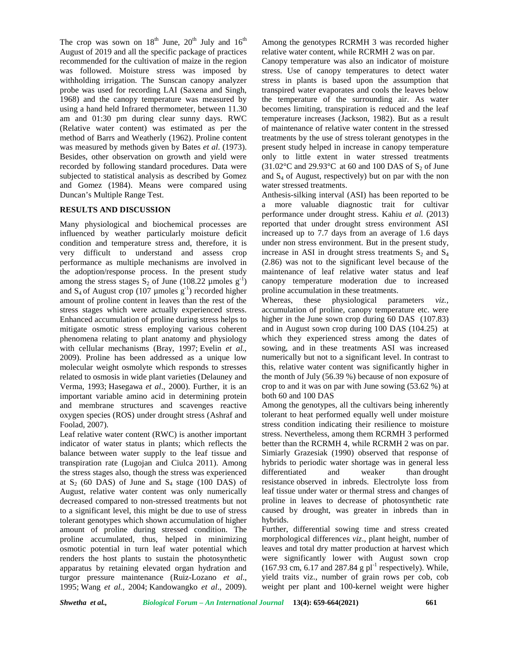The crop was sown on  $18<sup>th</sup>$  June,  $20<sup>th</sup>$  July and  $16<sup>th</sup>$ August of 2019 and all the specific package of practices recommended for the cultivation of maize in the region was followed. Moisture stress was imposed by withholding irrigation. The Sunscan canopy analyzer probe was used for recording LAI (Saxena and Singh, 1968) and the canopy temperature was measured by using a hand held Infrared thermometer, between 11.30 am and 01:30 pm during clear sunny days. RWC (Relative water content) was estimated as per the method of Barrs and Weatherly (1962). Proline content was measured by methods given by Bates *et al*. (1973). Besides, other observation on growth and yield were recorded by following standard procedures. Data were subjected to statistical analysis as described by Gomez and Gomez (1984). Means were compared using Duncan's Multiple Range Test.

## **RESULTS AND DISCUSSION**

Many physiological and biochemical processes are influenced by weather particularly moisture deficit condition and temperature stress and, therefore, it is very difficult to understand and assess crop performance as multiple mechanisms are involved in the adoption/response process. In the present study among the stress stages  $S_2$  of June (108.22 µmoles g<sup>-1</sup>) and  $S_4$  of August crop (107 µmoles g<sup>-1</sup>) recorded higher proline ac amount of proline content in leaves than the rest of the Whereas. amount of proline content in leaves than the rest of the stress stages which were actually experienced stress. Enhanced accumulation of proline during stress helps to mitigate osmotic stress employing various coherent phenomena relating to plant anatomy and physiology with cellular mechanisms (Bray, 1997; Evelin *et al*., 2009). Proline has been addressed as a unique low molecular weight osmolyte which responds to stresses related to osmosis in wide plant varieties (Delauney and Verma, 1993; Hasegawa *et al*., 2000). Further, it is an important variable amino acid in determining protein and membrane structures and scavenges reactive oxygen species (ROS) under drought stress (Ashraf and Foolad, 2007).

Leaf relative water content (RWC) is another important indicator of water status in plants; which reflects the balance between water supply to the leaf tissue and transpiration rate (Lugojan and Ciulca 2011). Among the stress stages also, though the stress was experienced at  $S_2$  (60 DAS) of June and  $S_4$  stage (100 DAS) of August, relative water content was only numerically decreased compared to non-stressed treatments but not to a significant level, this might be due to use of stress tolerant genotypes which shown accumulation of higher amount of proline during stressed condition. The proline accumulated, thus, helped in minimizing osmotic potential in turn leaf water potential which renders the host plants to sustain the photosynthetic apparatus by retaining elevated organ hydration and turgor pressure maintenance (Ruiz-Lozano *et al*., 1995; Wang *et al.,* 2004; Kandowangko *et al*., 2009).

Among the genotypes RCRMH 3 was recorded higher relative water content, while RCRMH 2 was on par.

Canopy temperature was also an indicator of moisture stress. Use of canopy temperatures to detect water stress in plants is based upon the assumption that transpired water evaporates and cools the leaves below the temperature of the surrounding air. As water becomes limiting, transpiration is reduced and the leaf temperature increases (Jackson, 1982). But as a result of maintenance of relative water content in the stressed treatments by the use of stress tolerant genotypes in the present study helped in increase in canopy temperature only to little extent in water stressed treatments  $(31.02^{\circ}$ C and 29.93 $^{\circ}$ C at 60 and 100 DAS of S<sub>2</sub> of June and  $S_4$  of August, respectively) but on par with the non water stressed treatments.

Anthesis-silking interval (ASI) has been reported to be a more valuable diagnostic trait for cultivar performance under drought stress. Kahiu *et al.* (2013) reported that under drought stress environment ASI increased up to 7.7 days from an average of 1.6 days under non stress environment. But in the present study, increase in ASI in drought stress treatments  $S_2$  and  $S_4$ (2.86) was not to the significant level because of the maintenance of leaf relative water status and leaf canopy temperature moderation due to increased proline accumulation in these treatments.

these physiological parameters *viz.*, accumulation of proline, canopy temperature etc. were higher in the June sown crop during 60 DAS (107.83) and in August sown crop during 100 DAS (104.25) at which they experienced stress among the dates of sowing, and in these treatments ASI was increased numerically but not to a significant level. In contrast to this, relative water content was significantly higher in the month of July (56.39 %) because of non exposure of crop to and it was on par with June sowing (53.62 %) at both 60 and 100 DAS

Among the genotypes, all the cultivars being inherently tolerant to heat performed equally well under moisture stress condition indicating their resilience to moisture stress. Nevertheless, among them RCRMH 3 performed better than the RCRMH 4, while RCRMH 2 was on par. Simiarly Grazesiak (1990) observed that response of hybrids to periodic water shortage was in general less and weaker than drought resistance observed in inbreds. Electrolyte loss from leaf tissue under water or thermal stress and changes of proline in leaves to decrease of photosynthetic rate caused by drought, was greater in inbreds than in hybrids.

Further, differential sowing time and stress created morphological differences *viz*., plant height, number of leaves and total dry matter production at harvest which were significantly lower with August sown crop  $(167.93 \text{ cm}, 6.17 \text{ and } 287.84 \text{ g} \text{ pl}^{-1} \text{ respectively})$ . While, yield traits viz., number of grain rows per cob, cob weight per plant and 100-kernel weight were higher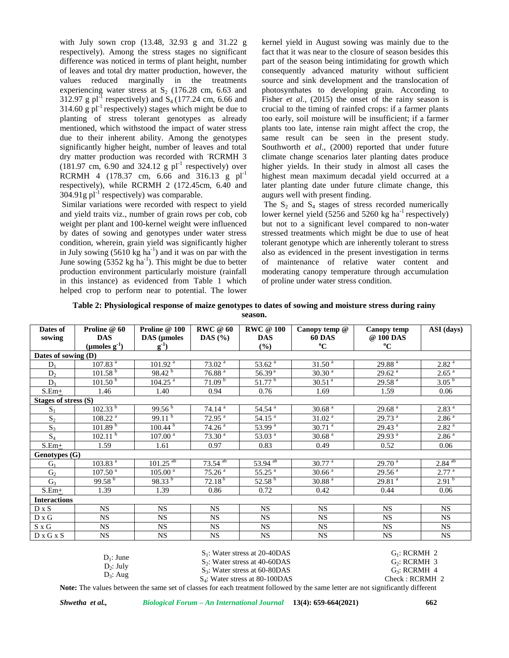with July sown crop (13.48, 32.93 g and 31.22 g respectively). Among the stress stages no significant difference was noticed in terms of plant height, number of leaves and total dry matter production, however, the values reduced marginally in the treatments experiencing water stress at  $S_2$  (176.28 cm, 6.63 and 312.97 g pl<sup>-1</sup> respectively) and  $S_4$  (177.24 cm, 6.66 and 314.60 g  $\text{pl}^{-1}$  respectively) stages which might be due to planting of stress tolerant genotypes as already mentioned, which withstood the impact of water stress due to their inherent ability. Among the genotypes significantly higher height, number of leaves and total dry matter production was recorded with -RCRMH 3  $(181.97 \text{ cm}, 6.90 \text{ and } 324.12 \text{ g } \text{pl}^{-1} \text{ respectively})$  over RCRMH 4 (178.37 cm, 6.66 and 316.13 g  $pl^{-1}$ respectively), while RCRMH 2 (172.45cm, 6.40 and  $304.91g$  pl<sup>-1</sup> respectively) was comparable.

Similar variations were recorded with respect to yield and yield traits viz., number of grain rows per cob, cob weight per plant and 100-kernel weight were influenced by dates of sowing and genotypes under water stress condition, wherein, grain yield was significantly higher in July sowing  $(5610 \text{ kg ha}^{-1})$  and it was on par with the June sowing  $(5352 \text{ kg ha}^{-1})$ . This might be due to better production environment particularly moisture (rainfall in this instance) as evidenced from Table 1 which helped crop to perform near to potential. The lower

kernel yield in August sowing was mainly due to the fact that it was near to the closure of season besides this part of the season being intimidating for growth which consequently advanced maturity without sufficient source and sink development and the translocation of photosynthates to developing grain. According to Fisher *et al.*, (2015) the onset of the rainy season is crucial to the timing of rainfed crops: if a farmer plants too early, soil moisture will be insufficient; if a farmer plants too late, intense rain might affect the crop, the same result can be seen in the present study. Southworth *et al.*, (2000) reported that under future climate change scenarios later planting dates produce higher yields. In their study in almost all cases the highest mean maximum decadal yield occurred at a later planting date under future climate change, this augurs well with present finding.

The  $S_2$  and  $S_4$  stages of stress recorded numerically lower kernel yield  $(5256 \text{ and } 5260 \text{ kg ha}^{-1})$  respectively) but not to a significant level compared to non-water stressed treatments which might be due to use of heat tolerant genotype which are inherently tolerant to stress also as evidenced in the present investigation in terms of maintenance of relative water content and moderating canopy temperature through accumulation of proline under water stress condition.

| Dates of             | Proline @ 60            | Proline @ 100          | <b>RWC</b> @ 60       | <b>RWC</b> @ 100     |                                  |                          |                      |
|----------------------|-------------------------|------------------------|-----------------------|----------------------|----------------------------------|--------------------------|----------------------|
| sowing               | <b>DAS</b>              | DAS (µmoles            | DAS $(\% )$           | <b>DAS</b>           | Canopy temp $@$<br><b>60 DAS</b> | Canopy temp<br>@ 100 DAS | ASI (days)           |
|                      |                         |                        |                       |                      | $\rm ^{o}C$                      | $\rm ^{o}C$              |                      |
|                      | $(\mu$ moles $g^{-1}$ ) | $g^{-1}$               |                       | (%)                  |                                  |                          |                      |
| Dates of sowing (D)  |                         |                        |                       |                      |                                  |                          |                      |
| $D_1$                | 107.83 <sup>a</sup>     | 101.92 <sup>a</sup>    | 73.02 <sup>a</sup>    | 53.62 <sup>a</sup>   | 31.50 <sup>a</sup>               | 29.88 <sup>a</sup>       | 2.82 <sup>a</sup>    |
| $D_{2}$              | 101.58 <sup>b</sup>     | 98.42 <sup>b</sup>     | 76.88 <sup>a</sup>    | 56.39 <sup>a</sup>   | 30.30 <sup>a</sup>               | 29.62 <sup>a</sup>       | 2.65 <sup>a</sup>    |
| $D_3$                | 101.50 <sup>b</sup>     | $104.25^{a}$           | 71.09 <sup>b</sup>    | 51.77 <sup>b</sup>   | 30.51 <sup>a</sup>               | 29.58 <sup>a</sup>       | 3.05 <sup>b</sup>    |
| $S.Em+$              | 1.46                    | 1.40                   | 0.94                  | 0.76                 | 1.69                             | 1.59                     | 0.06                 |
| Stages of stress (S) |                         |                        |                       |                      |                                  |                          |                      |
| $S_1$                | $102.33^{b}$            | 99.56 <sup>b</sup>     | $74.14^{a}$           | $54.54^{a}$          | 30.68 <sup>a</sup>               | 29.68 <sup>a</sup>       | 2.83 <sup>a</sup>    |
| $S_2$                | 108.22 <sup>a</sup>     | $99.11^{b}$            | $72.95$ <sup>a</sup>  | $54.15^{a}$          | $31.02^{a}$                      | 29.73 <sup>a</sup>       | 2.86 <sup>a</sup>    |
| $S_3$                | 101.89 <sup>b</sup>     | $100.44^{b}$           | $74.26^{\frac{a}{a}}$ | 53.99 <sup>a</sup>   | $30.71^{a}$                      | 29.43 <sup>a</sup>       | 2.82 <sup>a</sup>    |
| $S_4$                | 102.11 <sup>b</sup>     | $107.00^{a}$           | $73.30^{a}$           | $53.03^{a}$          | 30.68 <sup>a</sup>               | $29.93^{a}$              | 2.86 <sup>a</sup>    |
| $S.Em+$              | 1.59                    | 1.61                   | 0.97                  | 0.83                 | 0.49                             | 0.52                     | 0.06                 |
| Genotypes (G)        |                         |                        |                       |                      |                                  |                          |                      |
| $G_1$                | $103.83^{\overline{a}}$ | $101.25^{ab}$          | $73.54$ <sup>ab</sup> | $53.94^{ab}$         | $30.77^{\frac{a}{a}}$            | 29.70 <sup>a</sup>       | $2.84$ <sup>ab</sup> |
| G <sub>2</sub>       | 107.50 <sup>a</sup>     | $105.00^{\frac{1}{a}}$ | 75.26 <sup>a</sup>    | $55.25$ <sup>a</sup> | 30.66 <sup>a</sup>               | 29.56 <sup>a</sup>       | 2.77 <sup>a</sup>    |
| G <sub>3</sub>       | $99.58^{b}$             | $98.33^{b}$            | $72.18^{b}$           | $52.58^{b}$          | $30.88 \overline{a}$             | $29.81$ <sup>a</sup>     | $2.91^{b}$           |
| $S.Em+$              | 1.39                    | 1.39                   | 0.86                  | 0.72                 | 0.42                             | 0.44                     | 0.06                 |
| <b>Interactions</b>  |                         |                        |                       |                      |                                  |                          |                      |
| $D \times S$         | <b>NS</b>               | NS                     | <b>NS</b>             | <b>NS</b>            | <b>NS</b>                        | <b>NS</b>                | <b>NS</b>            |
| D x G                | <b>NS</b>               | <b>NS</b>              | <b>NS</b>             | <b>NS</b>            | <b>NS</b>                        | <b>NS</b>                | <b>NS</b>            |
| S x G                | <b>NS</b>               | <b>NS</b>              | <b>NS</b>             | NS                   | NS                               | NS                       | NS                   |
| D x G x S            | <b>NS</b>               | <b>NS</b>              | <b>NS</b>             | NS                   | <b>NS</b>                        | <b>NS</b>                | NS                   |

| Table 2: Physiological response of maize genotypes to dates of sowing and moisture stress during rainy |  |  |
|--------------------------------------------------------------------------------------------------------|--|--|
|                                                                                                        |  |  |

**season.**

|              | $S_1$ : Water stress at 20-40DAS                                                                                            | $G_1$ : RCRMH 2          |
|--------------|-----------------------------------------------------------------------------------------------------------------------------|--------------------------|
| $D_1$ : June | $S_2$ : Water stress at 40-60DAS                                                                                            | G <sub>2</sub> : RCRMH 3 |
| $D_2$ : July | $S_3$ : Water stress at 60-80DAS                                                                                            | $G_3$ : RCRMH 4          |
| $D_3$ : Aug  | $S_4$ : Water stress at 80-100DAS                                                                                           | Check : RCRMH 2          |
|              | $\mathbf{M}$ , and the state of the contract of the contract of the contract of $\mathbf{M}$ . The contract of $\mathbf{M}$ |                          |

**Note:** The values between the same set of classes for each treatment followed by the same letter are not significantly different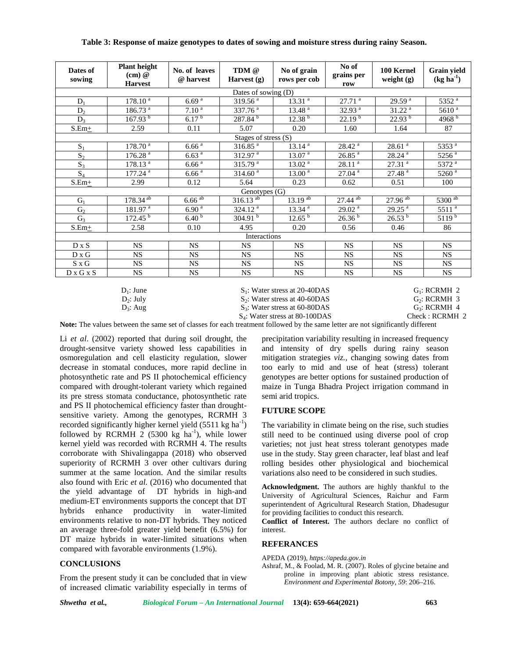| Dates of<br>sowing | <b>Plant height</b><br>(cm) @<br><b>Harvest</b> | No. of leaves<br>@ harvest | TDM @<br>Harvest (g)    | No of grain<br>rows per cob | No of<br>grains per<br>row | 100 Kernel<br>weight $(g)$ | Grain yield<br>$(kg ha-1)$ |
|--------------------|-------------------------------------------------|----------------------------|-------------------------|-----------------------------|----------------------------|----------------------------|----------------------------|
|                    |                                                 |                            | Dates of sowing (D)     |                             |                            |                            |                            |
| $D_1$              | 178.10 <sup>a</sup>                             | 6.69 <sup>a</sup>          | 319.56 <sup>a</sup>     | 13.31 <sup>a</sup>          | 27.71 <sup>a</sup>         | 29.59 <sup>a</sup>         | 5352 <sup>a</sup>          |
| $D_2$              | 186.73 <sup>a</sup>                             | $7.10^{4}$                 | $337.76^{\overline{a}}$ | $13.48^{a}$                 | 32.93 $a$                  | 31.22 <sup>a</sup>         | 5610 <sup>a</sup>          |
| $D_3$              | $167.93^{b}$                                    | 6.17 <sup>b</sup>          | $287.84^{b}$            | 12.38 <sup>b</sup>          | $22.19^{b}$                | $22.93^{b}$                | 4968 <sup>b</sup>          |
| $S.Em+$            | 2.59                                            | 0.11                       | 5.07                    | 0.20                        | 1.60                       | 1.64                       | 87                         |
|                    |                                                 |                            | Stages of stress (S)    |                             |                            |                            |                            |
| $S_1$              | 178.70 <sup>a</sup>                             | 6.66 <sup>a</sup>          | 316.85 <sup>a</sup>     | 13.14 <sup>a</sup>          | $28.42$ <sup>a</sup>       | 28.61 <sup>a</sup>         | 5353 <sup>a</sup>          |
| $S_2$              | 176.28 <sup>a</sup>                             | 6.63 <sup>a</sup>          | $312.97$ <sup>a</sup>   | 13.07 <sup>a</sup>          | $26.85$ <sup>a</sup>       | $28.24$ <sup>a</sup>       | $5256$ <sup>a</sup>        |
| $S_3$              | 178.13 <sup>a</sup>                             | 6.66 <sup>a</sup>          | 315.79 <sup>a</sup>     | $13.02^{a}$                 | 28.11 <sup>a</sup>         | $27.31$ <sup>a</sup>       | 5372 <sup>a</sup>          |
| $S_4$              | $177.24$ <sup>a</sup>                           | 6.66 <sup>a</sup>          | 314.60 <sup>a</sup>     | $13.00^{\frac{a}{a}}$       | $27.04$ <sup>a</sup>       | 27.48 <sup>a</sup>         | $5260^{\frac{a}{a}}$       |
| $S.Em+$            | 2.99                                            | 0.12                       | 5.64                    | 0.23                        | 0.62                       | 0.51                       | 100                        |
|                    |                                                 |                            | Genotypes (G)           |                             |                            |                            |                            |
| $G_1$              | $178.34^{ab}$                                   | $6.66$ <sup>ab</sup>       | $316.13^{ab}$           | $13.19^{ab}$                | $27.44^{ab}$               | $27.96^{ab}$               | $5300$ <sup>ab</sup>       |
| G <sub>2</sub>     | $181.97^{a}$                                    | 6.90 <sup>a</sup>          | $324.12^{\overline{a}}$ | 13.34 <sup>a</sup>          | 29.02 <sup>a</sup>         | $29.25$ <sup>a</sup>       | $5511^{a}$                 |
| $G_3$              | 172.45 <sup>b</sup>                             | 6.40 <sup>b</sup>          | 304.91 <sup>b</sup>     | 12.65 <sup>b</sup>          | 26.36 <sup>b</sup>         | $26.53^{b}$                | $51\overline{19^b}$        |
| $S.Em+$            | 2.58                                            | 0.10                       | 4.95                    | 0.20                        | 0.56                       | 0.46                       | 86                         |
|                    |                                                 |                            | Interactions            |                             |                            |                            |                            |
| $D \times S$       | <b>NS</b>                                       | <b>NS</b>                  | <b>NS</b>               | <b>NS</b>                   | <b>NS</b>                  | <b>NS</b>                  | <b>NS</b>                  |
| D x G              | NS                                              | <b>NS</b>                  | NS.                     | <b>NS</b>                   | <b>NS</b>                  | <b>NS</b>                  | <b>NS</b>                  |
| S x G              | <b>NS</b>                                       | <b>NS</b>                  | <b>NS</b>               | <b>NS</b>                   | <b>NS</b>                  | <b>NS</b>                  | <b>NS</b>                  |
| D x G x S          | <b>NS</b>                                       | <b>NS</b>                  | <b>NS</b>               | <b>NS</b>                   | <b>NS</b>                  | <b>NS</b>                  | <b>NS</b>                  |

**Table 3: Response of maize genotypes to dates of sowing and moisture stress during rainy Season.**

 $D_1$ : June  $D_2$ : July  $D_3$ : Aug S<sub>1</sub>: Water stress at 20-40DAS  $S_2$ : Water stress at 40-60DAS  $G_1$ : RCRMH 2

 $G_2$ : RCRMH 3

S<sub>3</sub>: Water stress at 60-80DAS

 $G_3$ : RCRMH 4 Check : RCRMH 2

S<sub>4</sub>: Water stress at 80-100DAS **Note:** The values between the same set of classes for each treatment followed by the same letter are not significantly different

Li *et al*. (2002) reported that during soil drought, the drought-sensitve variety showed less capabilities in osmoregulation and cell elasticity regulation, slower decrease in stomatal conduces, more rapid decline in photosynthetic rate and PS II photochemical efficiency compared with drought-tolerant variety which regained its pre stress stomata conductance, photosynthetic rate and PS II photochemical efficiency faster than drought sensitive variety. Among the genotypes, RCRMH 3 recorded significantly higher kernel yield  $(5511 \text{ kg ha}^{-1})$ followed by RCRMH 2 (5300 kg ha<sup>-1</sup>), while lower kernel yield was recorded with RCRMH 4. The results corroborate with Shivalingappa (2018) who observed superiority of RCRMH 3 over other cultivars during summer at the same location. And the similar results also found with Eric *et al.* (2016) who documented that the yield advantage of DT hybrids in high-and medium-ET environments supports the concept that DT hybrids enhance productivity in water-limited environments relative to non-DT hybrids. They noticed an average three-fold greater yield benefit (6.5%) for DT maize hybrids in water-limited situations when compared with favorable environments (1.9%).

## **CONCLUSIONS**

From the present study it can be concluded that in view of increased climatic variability especially in terms of precipitation variability resulting in increased frequency and intensity of dry spells during rainy season mitigation strategies *viz.,* changing sowing dates from too early to mid and use of heat (stress) tolerant genotypes are better options for sustained production of maize in Tunga Bhadra Project irrigation command in semi arid tropics.

# **FUTURE SCOPE**

The variability in climate being on the rise, such studies still need to be continued using diverse pool of crop varieties; not just heat stress tolerant genotypes made use in the study. Stay green character, leaf blast and leaf rolling besides other physiological and biochemical variations also need to be considered in such studies.

**Acknowledgment.** The authors are highly thankful to the University of Agricultural Sciences, Raichur and Farm superintendent of Agricultural Research Station, Dhadesugur for providing facilities to conduct this research.

**Conflict of Interest.** The authors declare no conflict of interest.

## **REFERANCES**

APEDA (2019), *https://apeda.gov.in*

Ashraf, M., & Foolad, M. R. (2007). Roles of glycine betaine and proline in improving plant abiotic stress resistance. *Environment and Experimental Botony*, *59*: 206–216.